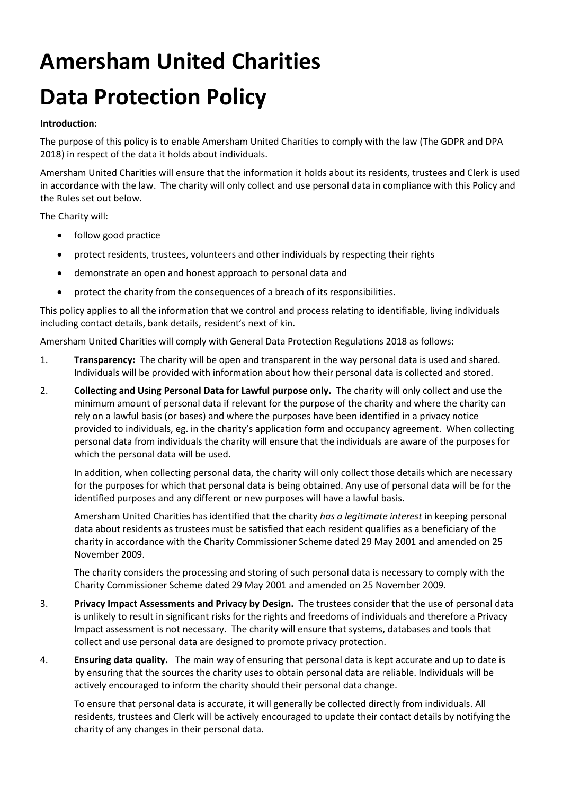# Amersham United Charities Data Protection Policy

#### Introduction:

The purpose of this policy is to enable Amersham United Charities to comply with the law (The GDPR and DPA 2018) in respect of the data it holds about individuals.

Amersham United Charities will ensure that the information it holds about its residents, trustees and Clerk is used in accordance with the law. The charity will only collect and use personal data in compliance with this Policy and the Rules set out below.

The Charity will:

- follow good practice
- protect residents, trustees, volunteers and other individuals by respecting their rights
- demonstrate an open and honest approach to personal data and
- protect the charity from the consequences of a breach of its responsibilities.

This policy applies to all the information that we control and process relating to identifiable, living individuals including contact details, bank details, resident's next of kin.

Amersham United Charities will comply with General Data Protection Regulations 2018 as follows:

- 1. Transparency: The charity will be open and transparent in the way personal data is used and shared. Individuals will be provided with information about how their personal data is collected and stored.
- 2. Collecting and Using Personal Data for Lawful purpose only. The charity will only collect and use the minimum amount of personal data if relevant for the purpose of the charity and where the charity can rely on a lawful basis (or bases) and where the purposes have been identified in a privacy notice provided to individuals, eg. in the charity's application form and occupancy agreement. When collecting personal data from individuals the charity will ensure that the individuals are aware of the purposes for which the personal data will be used.

 In addition, when collecting personal data, the charity will only collect those details which are necessary for the purposes for which that personal data is being obtained. Any use of personal data will be for the identified purposes and any different or new purposes will have a lawful basis.

Amersham United Charities has identified that the charity has a legitimate interest in keeping personal data about residents as trustees must be satisfied that each resident qualifies as a beneficiary of the charity in accordance with the Charity Commissioner Scheme dated 29 May 2001 and amended on 25 November 2009.

The charity considers the processing and storing of such personal data is necessary to comply with the Charity Commissioner Scheme dated 29 May 2001 and amended on 25 November 2009.

- 3. Privacy Impact Assessments and Privacy by Design. The trustees consider that the use of personal data is unlikely to result in significant risks for the rights and freedoms of individuals and therefore a Privacy Impact assessment is not necessary. The charity will ensure that systems, databases and tools that collect and use personal data are designed to promote privacy protection.
- 4. **Ensuring data quality.** The main way of ensuring that personal data is kept accurate and up to date is by ensuring that the sources the charity uses to obtain personal data are reliable. Individuals will be actively encouraged to inform the charity should their personal data change.

To ensure that personal data is accurate, it will generally be collected directly from individuals. All residents, trustees and Clerk will be actively encouraged to update their contact details by notifying the charity of any changes in their personal data.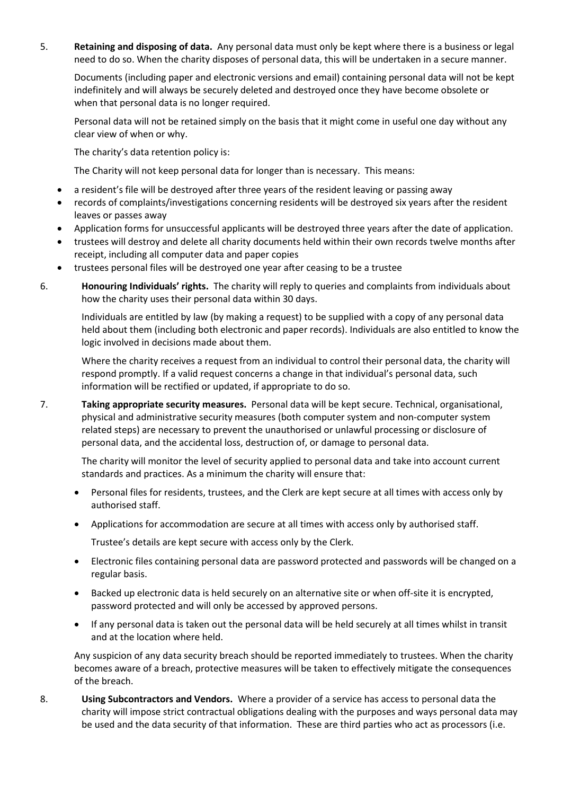5. Retaining and disposing of data. Any personal data must only be kept where there is a business or legal need to do so. When the charity disposes of personal data, this will be undertaken in a secure manner.

Documents (including paper and electronic versions and email) containing personal data will not be kept indefinitely and will always be securely deleted and destroyed once they have become obsolete or when that personal data is no longer required.

Personal data will not be retained simply on the basis that it might come in useful one day without any clear view of when or why.

The charity's data retention policy is:

The Charity will not keep personal data for longer than is necessary. This means:

- a resident's file will be destroyed after three years of the resident leaving or passing away
- records of complaints/investigations concerning residents will be destroyed six years after the resident leaves or passes away
- Application forms for unsuccessful applicants will be destroyed three years after the date of application.
- trustees will destroy and delete all charity documents held within their own records twelve months after receipt, including all computer data and paper copies
- trustees personal files will be destroyed one year after ceasing to be a trustee
- 6. Honouring Individuals' rights. The charity will reply to queries and complaints from individuals about how the charity uses their personal data within 30 days.

Individuals are entitled by law (by making a request) to be supplied with a copy of any personal data held about them (including both electronic and paper records). Individuals are also entitled to know the logic involved in decisions made about them.

Where the charity receives a request from an individual to control their personal data, the charity will respond promptly. If a valid request concerns a change in that individual's personal data, such information will be rectified or updated, if appropriate to do so.

7. Taking appropriate security measures. Personal data will be kept secure. Technical, organisational, physical and administrative security measures (both computer system and non-computer system related steps) are necessary to prevent the unauthorised or unlawful processing or disclosure of personal data, and the accidental loss, destruction of, or damage to personal data.

The charity will monitor the level of security applied to personal data and take into account current standards and practices. As a minimum the charity will ensure that:

- Personal files for residents, trustees, and the Clerk are kept secure at all times with access only by authorised staff.
- Applications for accommodation are secure at all times with access only by authorised staff.

Trustee's details are kept secure with access only by the Clerk.

- Electronic files containing personal data are password protected and passwords will be changed on a regular basis.
- Backed up electronic data is held securely on an alternative site or when off-site it is encrypted, password protected and will only be accessed by approved persons.
- If any personal data is taken out the personal data will be held securely at all times whilst in transit and at the location where held.

Any suspicion of any data security breach should be reported immediately to trustees. When the charity becomes aware of a breach, protective measures will be taken to effectively mitigate the consequences of the breach.

8. Using Subcontractors and Vendors. Where a provider of a service has access to personal data the charity will impose strict contractual obligations dealing with the purposes and ways personal data may be used and the data security of that information. These are third parties who act as processors (i.e.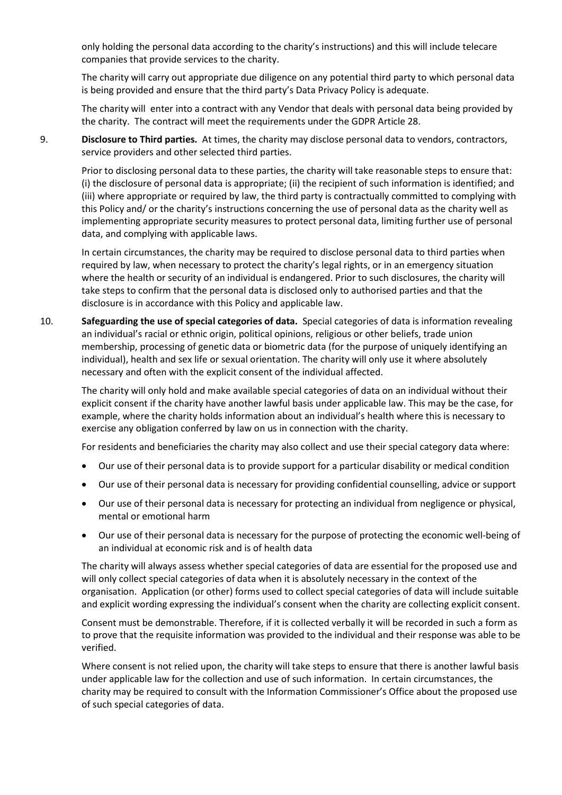only holding the personal data according to the charity's instructions) and this will include telecare companies that provide services to the charity.

The charity will carry out appropriate due diligence on any potential third party to which personal data is being provided and ensure that the third party's Data Privacy Policy is adequate.

The charity will enter into a contract with any Vendor that deals with personal data being provided by the charity. The contract will meet the requirements under the GDPR Article 28.

9. Disclosure to Third parties. At times, the charity may disclose personal data to vendors, contractors, service providers and other selected third parties.

Prior to disclosing personal data to these parties, the charity will take reasonable steps to ensure that: (i) the disclosure of personal data is appropriate; (ii) the recipient of such information is identified; and (iii) where appropriate or required by law, the third party is contractually committed to complying with this Policy and/ or the charity's instructions concerning the use of personal data as the charity well as implementing appropriate security measures to protect personal data, limiting further use of personal data, and complying with applicable laws.

In certain circumstances, the charity may be required to disclose personal data to third parties when required by law, when necessary to protect the charity's legal rights, or in an emergency situation where the health or security of an individual is endangered. Prior to such disclosures, the charity will take steps to confirm that the personal data is disclosed only to authorised parties and that the disclosure is in accordance with this Policy and applicable law.

10. Safeguarding the use of special categories of data. Special categories of data is information revealing an individual's racial or ethnic origin, political opinions, religious or other beliefs, trade union membership, processing of genetic data or biometric data (for the purpose of uniquely identifying an individual), health and sex life or sexual orientation. The charity will only use it where absolutely necessary and often with the explicit consent of the individual affected.

The charity will only hold and make available special categories of data on an individual without their explicit consent if the charity have another lawful basis under applicable law. This may be the case, for example, where the charity holds information about an individual's health where this is necessary to exercise any obligation conferred by law on us in connection with the charity.

For residents and beneficiaries the charity may also collect and use their special category data where:

- Our use of their personal data is to provide support for a particular disability or medical condition
- Our use of their personal data is necessary for providing confidential counselling, advice or support
- Our use of their personal data is necessary for protecting an individual from negligence or physical, mental or emotional harm
- Our use of their personal data is necessary for the purpose of protecting the economic well-being of an individual at economic risk and is of health data

The charity will always assess whether special categories of data are essential for the proposed use and will only collect special categories of data when it is absolutely necessary in the context of the organisation. Application (or other) forms used to collect special categories of data will include suitable and explicit wording expressing the individual's consent when the charity are collecting explicit consent.

Consent must be demonstrable. Therefore, if it is collected verbally it will be recorded in such a form as to prove that the requisite information was provided to the individual and their response was able to be verified.

Where consent is not relied upon, the charity will take steps to ensure that there is another lawful basis under applicable law for the collection and use of such information. In certain circumstances, the charity may be required to consult with the Information Commissioner's Office about the proposed use of such special categories of data.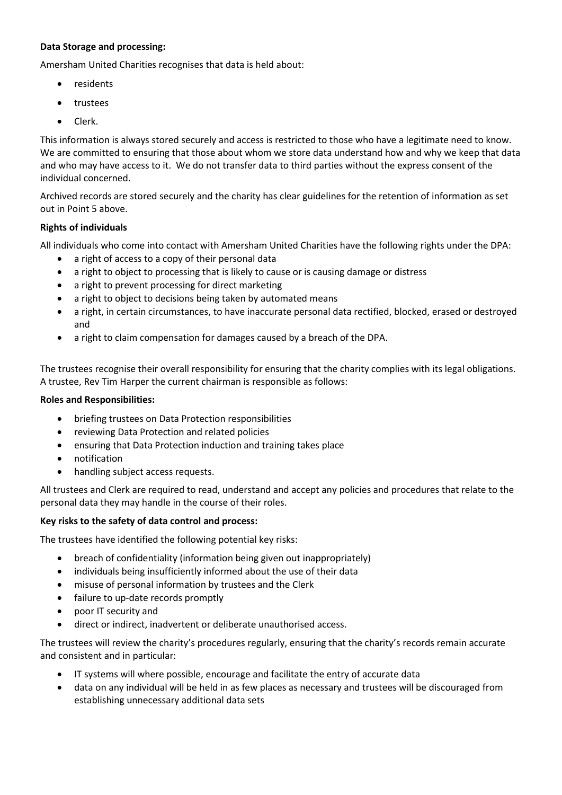## Data Storage and processing:

Amersham United Charities recognises that data is held about:

- residents
- trustees
- Clerk.

This information is always stored securely and access is restricted to those who have a legitimate need to know. We are committed to ensuring that those about whom we store data understand how and why we keep that data and who may have access to it. We do not transfer data to third parties without the express consent of the individual concerned.

Archived records are stored securely and the charity has clear guidelines for the retention of information as set out in Point 5 above.

#### Rights of individuals

All individuals who come into contact with Amersham United Charities have the following rights under the DPA:

- a right of access to a copy of their personal data
- a right to object to processing that is likely to cause or is causing damage or distress
- a right to prevent processing for direct marketing
- a right to object to decisions being taken by automated means
- a right, in certain circumstances, to have inaccurate personal data rectified, blocked, erased or destroyed and
- a right to claim compensation for damages caused by a breach of the DPA.

The trustees recognise their overall responsibility for ensuring that the charity complies with its legal obligations. A trustee, Rev Tim Harper the current chairman is responsible as follows:

#### Roles and Responsibilities:

- briefing trustees on Data Protection responsibilities
- reviewing Data Protection and related policies
- ensuring that Data Protection induction and training takes place
- notification
- handling subject access requests.

All trustees and Clerk are required to read, understand and accept any policies and procedures that relate to the personal data they may handle in the course of their roles.

#### Key risks to the safety of data control and process:

The trustees have identified the following potential key risks:

- breach of confidentiality (information being given out inappropriately)
- individuals being insufficiently informed about the use of their data
- misuse of personal information by trustees and the Clerk
- failure to up-date records promptly
- poor IT security and
- direct or indirect, inadvertent or deliberate unauthorised access.

The trustees will review the charity's procedures regularly, ensuring that the charity's records remain accurate and consistent and in particular:

- IT systems will where possible, encourage and facilitate the entry of accurate data
- data on any individual will be held in as few places as necessary and trustees will be discouraged from establishing unnecessary additional data sets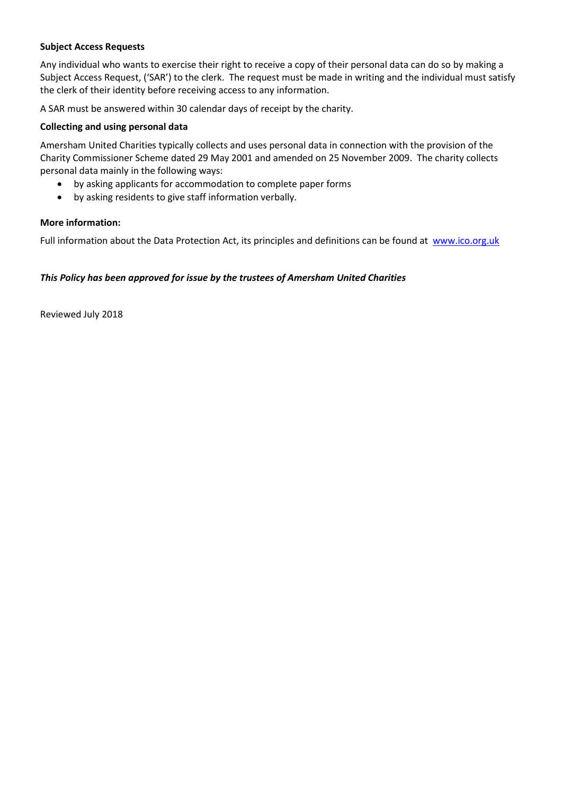## Subject Access Requests

Any individual who wants to exercise their right to receive a copy of their personal data can do so by making a Subject Access Request, ('SAR') to the clerk. The request must be made in writing and the individual must satisfy the clerk of their identity before receiving access to any information.

A SAR must be answered within 30 calendar days of receipt by the charity.

#### Collecting and using personal data

Amersham United Charities typically collects and uses personal data in connection with the provision of the Charity Commissioner Scheme dated 29 May 2001 and amended on 25 November 2009. The charity collects personal data mainly in the following ways:

- by asking applicants for accommodation to complete paper forms
- by asking residents to give staff information verbally.

#### More information:

Full information about the Data Protection Act, its principles and definitions can be found at www.ico.org.uk

#### This Policy has been approved for issue by the trustees of Amersham United Charities

Reviewed July 2018